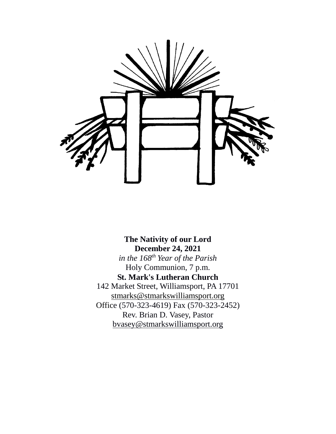

**The Nativity of our Lord December 24, 2021** *in the 168th Year of the Parish* Holy Communion, 7 p.m. **St. Mark's Lutheran Church** 142 Market Street, Williamsport, PA 17701 [stmarks@stmarkswilliamsport.org](mailto:stmarks@stmarkswilliamsport.org) Office (570-323-4619) Fax (570-323-2452) Rev. Brian D. Vasey, Pastor bvasey@stmarkswilliamsport.org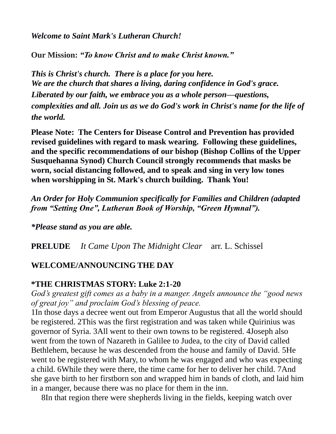*Welcome to Saint Mark's Lutheran Church!*

**Our Mission:** *"To know Christ and to make Christ known."*

*This is Christ's church. There is a place for you here. We are the church that shares a living, daring confidence in God's grace. Liberated by our faith, we embrace you as a whole person—questions, complexities and all. Join us as we do God's work in Christ's name for the life of the world.*

**Please Note: The Centers for Disease Control and Prevention has provided revised guidelines with regard to mask wearing. Following these guidelines, and the specific recommendations of our bishop (Bishop Collins of the Upper Susquehanna Synod) Church Council strongly recommends that masks be worn, social distancing followed, and to speak and sing in very low tones when worshipping in St. Mark's church building. Thank You!**

*An Order for Holy Communion specifically for Families and Children (adapted from "Setting One", Lutheran Book of Worship, "Green Hymnal").*

*\*Please stand as you are able.*

**PRELUDE** *It Came Upon The Midnight Clear* arr. L. Schissel

# **WELCOME/ANNOUNCING THE DAY**

# **\*THE CHRISTMAS STORY: Luke 2:1-20**

*God's greatest gift comes as a baby in a manger. Angels announce the "good news of great joy" and proclaim God's blessing of peace.*

1In those days a decree went out from Emperor Augustus that all the world should be registered. 2This was the first registration and was taken while Quirinius was governor of Syria. 3All went to their own towns to be registered. 4Joseph also went from the town of Nazareth in Galilee to Judea, to the city of David called Bethlehem, because he was descended from the house and family of David. 5He went to be registered with Mary, to whom he was engaged and who was expecting a child. 6While they were there, the time came for her to deliver her child. 7And she gave birth to her firstborn son and wrapped him in bands of cloth, and laid him in a manger, because there was no place for them in the inn.

8In that region there were shepherds living in the fields, keeping watch over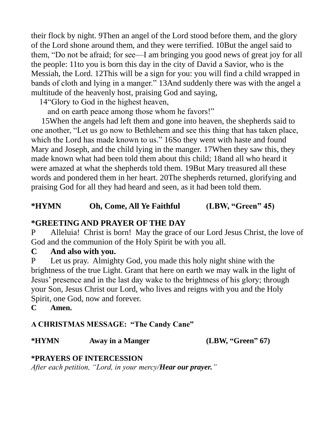their flock by night. 9Then an angel of the Lord stood before them, and the glory of the Lord shone around them, and they were terrified. 10But the angel said to them, "Do not be afraid; for see—I am bringing you good news of great joy for all the people: 11to you is born this day in the city of David a Savior, who is the Messiah, the Lord. 12This will be a sign for you: you will find a child wrapped in bands of cloth and lying in a manger." 13And suddenly there was with the angel a multitude of the heavenly host, praising God and saying,

14"Glory to God in the highest heaven,

and on earth peace among those whom he favors!"

15When the angels had left them and gone into heaven, the shepherds said to one another, "Let us go now to Bethlehem and see this thing that has taken place, which the Lord has made known to us." 16So they went with haste and found Mary and Joseph, and the child lying in the manger. 17When they saw this, they made known what had been told them about this child; 18and all who heard it were amazed at what the shepherds told them. 19But Mary treasured all these words and pondered them in her heart. 20The shepherds returned, glorifying and praising God for all they had heard and seen, as it had been told them.

# **\*HYMN Oh, Come, All Ye Faithful (LBW, "Green" 45)**

# **\*GREETING AND PRAYER OF THE DAY**

P Alleluia! Christ is born! May the grace of our Lord Jesus Christ, the love of God and the communion of the Holy Spirit be with you all.

## **C And also with you.**

P Let us pray. Almighty God, you made this holy night shine with the brightness of the true Light. Grant that here on earth we may walk in the light of Jesus' presence and in the last day wake to the brightness of his glory; through your Son, Jesus Christ our Lord, who lives and reigns with you and the Holy Spirit, one God, now and forever.

**C Amen.**

## **A CHRISTMAS MESSAGE: "The Candy Cane"**

**\*HYMN Away in a Manger (LBW, "Green" 67)**

# **\*PRAYERS OF INTERCESSION**

*After each petition, "Lord, in your mercy/Hear our prayer."*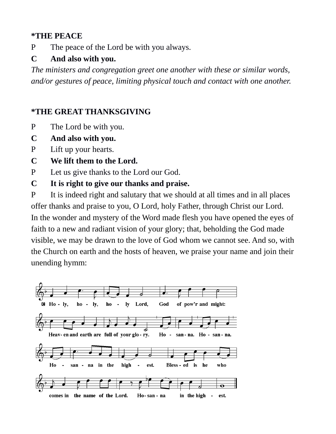### **\*THE PEACE**

P The peace of the Lord be with you always.

# **C And also with you.**

*The ministers and congregation greet one another with these or similar words, and/or gestures of peace, limiting physical touch and contact with one another.*

# **\*THE GREAT THANKSGIVING**

- P The Lord be with you.
- **C And also with you.**
- P Lift up your hearts.
- **C We lift them to the Lord.**
- P Let us give thanks to the Lord our God.
- **C It is right to give our thanks and praise.**

P It is indeed right and salutary that we should at all times and in all places offer thanks and praise to you, O Lord, holy Father, through Christ our Lord. In the wonder and mystery of the Word made flesh you have opened the eyes of faith to a new and radiant vision of your glory; that, beholding the God made visible, we may be drawn to the love of God whom we cannot see. And so, with the Church on earth and the hosts of heaven, we praise your name and join their unending hymm:

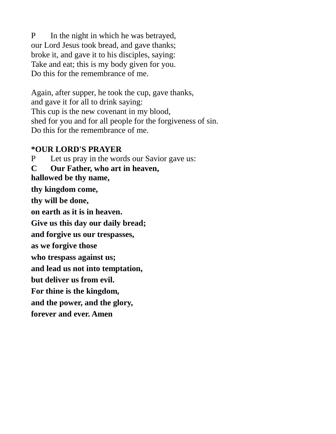P In the night in which he was betrayed, our Lord Jesus took bread, and gave thanks; broke it, and gave it to his disciples, saying: Take and eat; this is my body given for you. Do this for the remembrance of me.

Again, after supper, he took the cup, gave thanks, and gave it for all to drink saying: This cup is the new covenant in my blood, shed for you and for all people for the forgiveness of sin. Do this for the remembrance of me.

#### **\*OUR LORD'S PRAYER**

P Let us pray in the words our Savior gave us: **C Our Father, who art in heaven, hallowed be thy name, thy kingdom come, thy will be done, on earth as it is in heaven. Give us this day our daily bread; and forgive us our trespasses, as we forgive those who trespass against us; and lead us not into temptation, but deliver us from evil. For thine is the kingdom, and the power, and the glory, forever and ever. Amen**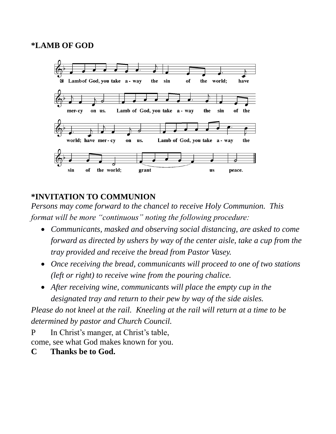### **\*LAMB OF GOD**



# **\*INVITATION TO COMMUNION**

*Persons may come forward to the chancel to receive Holy Communion. This format will be more "continuous" noting the following procedure:*

- *Communicants, masked and observing social distancing, are asked to come forward as directed by ushers by way of the center aisle, take a cup from the tray provided and receive the bread from Pastor Vasey.*
- *Once receiving the bread, communicants will proceed to one of two stations (left or right) to receive wine from the pouring chalice.*
- *After receiving wine, communicants will place the empty cup in the designated tray and return to their pew by way of the side aisles.*

*Please do not kneel at the rail. Kneeling at the rail will return at a time to be determined by pastor and Church Council.*

P In Christ's manger, at Christ's table,

come, see what God makes known for you.

**C Thanks be to God.**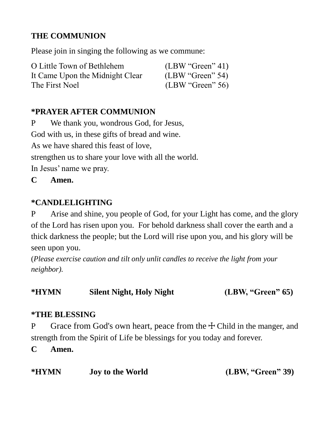# **THE COMMUNION**

Please join in singing the following as we commune:

| O Little Town of Bethlehem      | (LBW "Green" 41) |
|---------------------------------|------------------|
| It Came Upon the Midnight Clear | (LBW "Green" 54) |
| The First Noel                  | (LBW "Green" 56) |

# **\*PRAYER AFTER COMMUNION**

P We thank you, wondrous God, for Jesus, God with us, in these gifts of bread and wine. As we have shared this feast of love, strengthen us to share your love with all the world. In Jesus' name we pray.

**C Amen.**

# **\*CANDLELIGHTING**

P Arise and shine, you people of God, for your Light has come, and the glory of the Lord has risen upon you. For behold darkness shall cover the earth and a thick darkness the people; but the Lord will rise upon you, and his glory will be seen upon you.

(*Please exercise caution and tilt only unlit candles to receive the light from your neighbor).*

**\*HYMN Silent Night, Holy Night (LBW, "Green" 65)**

## **\*THE BLESSING**

P Grace from God's own heart, peace from the  $\pm$  Child in the manger, and strength from the Spirit of Life be blessings for you today and forever.

**C Amen.**

| *HYMN | <b>Joy to the World</b> | (LBW, "Green" 39) |
|-------|-------------------------|-------------------|
|-------|-------------------------|-------------------|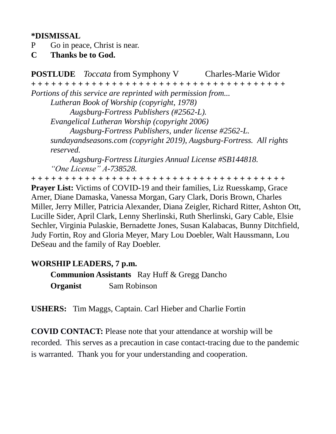### **\*DISMISSAL**

- P Go in peace, Christ is near.
- **C Thanks be to God.**

**POSTLUDE** *Toccata* from Symphony V Charles-Marie Widor **+ + + + + + + + + + + + + + + + + + + + + + + + + + + + + + + + + + + + + +**  *Portions of this service are reprinted with permission from... Lutheran Book of Worship (copyright, 1978) Augsburg-Fortress Publishers (#2562-L). Evangelical Lutheran Worship (copyright 2006) Augsburg-Fortress Publishers, under license #2562-L. sundayandseasons.com (copyright 2019), Augsburg-Fortress. All rights reserved. Augsburg-Fortress Liturgies Annual License #SB144818.*

*"One License" A-738528.*

**+ + + + + + + + + + + + + + + + + + + + + + + + + + + + + + + + + + + + + +**  Prayer List: Victims of COVID-19 and their families, Liz Ruesskamp, Grace Arner, Diane Damaska, Vanessa Morgan, Gary Clark, Doris Brown, Charles Miller, Jerry Miller, Patricia Alexander, Diana Zeigler, Richard Ritter, Ashton Ott, Lucille Sider, April Clark, Lenny Sherlinski, Ruth Sherlinski, Gary Cable, Elsie Sechler, Virginia Pulaskie, Bernadette Jones, Susan Kalabacas, Bunny Ditchfield, Judy Fortin, Roy and Gloria Meyer, Mary Lou Doebler, Walt Haussmann, Lou DeSeau and the family of Ray Doebler.

## **WORSHIP LEADERS, 7 p.m.**

**Communion Assistants** Ray Huff & Gregg Dancho **Organist** Sam Robinson

**USHERS:** Tim Maggs, Captain. Carl Hieber and Charlie Fortin

**COVID CONTACT:** Please note that your attendance at worship will be recorded. This serves as a precaution in case contact-tracing due to the pandemic is warranted. Thank you for your understanding and cooperation.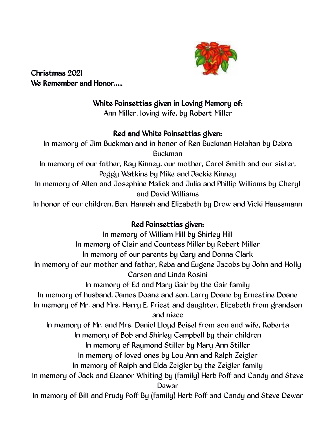

Christmas 2021 We Remember and Honor.....

# White Poinsettias given in Loving Memory of:

Ann Miller, loving wife, by Robert Miller

## Red and White Poinsettias given:

In memory of Jim Buckman and in honor of Ren Buckman Holahan by Debra Buckman In memory of our father, Ray Kinney, our mother, Carol Smith and our sister, Peggy Watkins by Mike and Jackie Kinney In memory of Allen and Josephine Malick and Julia and Phillip Williams by Cheryl and David Williams In honor of our children, Ben, Hannah and Elizabeth by Drew and Vicki Haussmann

# Red Poinsettias given:

In memory of William Hill by Shirley Hill In memory of Clair and Countess Miller by Robert Miller In memory of our parents by Gary and Donna Clark In memory of our mother and father, Reba and Eugene Jacobs by John and Holly Carson and Linda Rosini In memory of Ed and Mary Gair by the Gair family In memory of husband, James Doane and son, Larry Doane by Ernestine Doane In memory of Mr. and Mrs. Harry E. Priest and daughter, Elizabeth from grandson and niece In memory of Mr. and Mrs. Daniel Lloyd Beisel from son and wife, Roberta In memory of Bob and Shirley Campbell by their children In memory of Raymond Stiller by Mary Ann Stiller In memory of loved ones by Lou Ann and Ralph Zeigler In memory of Ralph and Elda Zeigler by the Zeigler family In memory of Jack and Eleanor Whiting by (family) Herb Poff and Candy and Steve Dewar In memory of Bill and Prudy Poff By (family) Herb Poff and Candy and Steve Dewar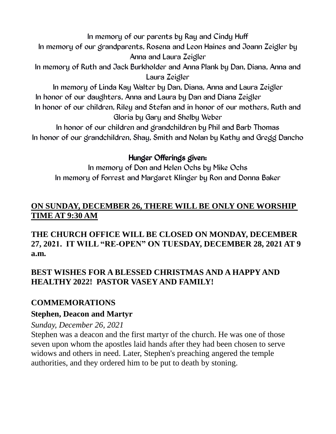In memory of our parents by Ray and Cindy Huff

In memory of our grandparents, Rosena and Leon Haines and Joann Zeigler by Anna and Laura Zeigler

In memory of Ruth and Jack Burkholder and Anna Plank by Dan, Diana, Anna and Laura Zeigler

In memory of Linda Kay Walter by Dan, Diana, Anna and Laura Zeigler In honor of our daughters, Anna and Laura by Dan and Diana Zeigler In honor of our children, Riley and Stefan and in honor of our mothers, Ruth and Gloria by Gary and Shelby Weber

In honor of our children and grandchildren by Phil and Barb Thomas In honor of our grandchildren, Shay, Smith and Nolan by Kathy and Gregg Dancho

# Hunger Offerings given:

In memory of Don and Helen Ochs by Mike Ochs In memory of Forrest and Margaret Klinger by Ron and Donna Baker

# **ON SUNDAY, DECEMBER 26, THERE WILL BE ONLY ONE WORSHIP TIME AT 9:30 AM**

**THE CHURCH OFFICE WILL BE CLOSED ON MONDAY, DECEMBER 27, 2021. IT WILL "RE-OPEN" ON TUESDAY, DECEMBER 28, 2021 AT 9 a.m.**

# **BEST WISHES FOR A BLESSED CHRISTMAS AND A HAPPY AND HEALTHY 2022! PASTOR VASEY AND FAMILY!**

# **COMMEMORATIONS**

## **Stephen, Deacon and Martyr**

## *Sunday, December 26, 2021*

Stephen was a deacon and the first martyr of the church. He was one of those seven upon whom the apostles laid hands after they had been chosen to serve widows and others in need. Later, Stephen's preaching angered the temple authorities, and they ordered him to be put to death by stoning.